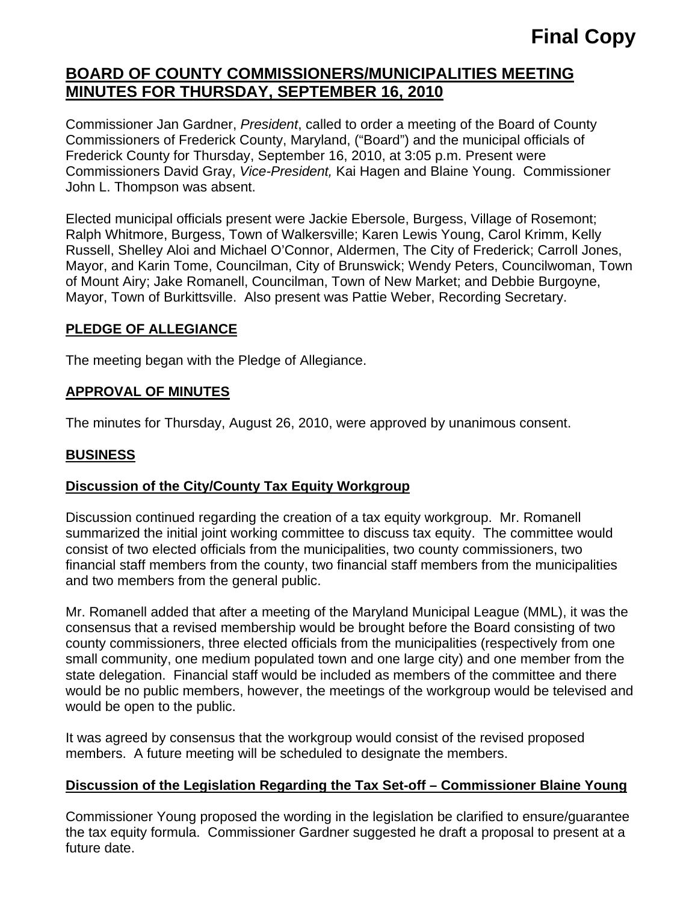# **BOARD OF COUNTY COMMISSIONERS/MUNICIPALITIES MEETING MINUTES FOR THURSDAY, SEPTEMBER 16, 2010**

Commissioner Jan Gardner, *President*, called to order a meeting of the Board of County Commissioners of Frederick County, Maryland, ("Board") and the municipal officials of Frederick County for Thursday, September 16, 2010, at 3:05 p.m. Present were Commissioners David Gray, *Vice-President,* Kai Hagen and Blaine Young. Commissioner John L. Thompson was absent.

Elected municipal officials present were Jackie Ebersole, Burgess, Village of Rosemont; Ralph Whitmore, Burgess, Town of Walkersville; Karen Lewis Young, Carol Krimm, Kelly Russell, Shelley Aloi and Michael O'Connor, Aldermen, The City of Frederick; Carroll Jones, Mayor, and Karin Tome, Councilman, City of Brunswick; Wendy Peters, Councilwoman, Town of Mount Airy; Jake Romanell, Councilman, Town of New Market; and Debbie Burgoyne, Mayor, Town of Burkittsville. Also present was Pattie Weber, Recording Secretary.

#### **PLEDGE OF ALLEGIANCE**

The meeting began with the Pledge of Allegiance.

### **APPROVAL OF MINUTES**

The minutes for Thursday, August 26, 2010, were approved by unanimous consent.

## **BUSINESS**

#### **Discussion of the City/County Tax Equity Workgroup**

Discussion continued regarding the creation of a tax equity workgroup. Mr. Romanell summarized the initial joint working committee to discuss tax equity. The committee would consist of two elected officials from the municipalities, two county commissioners, two financial staff members from the county, two financial staff members from the municipalities and two members from the general public.

Mr. Romanell added that after a meeting of the Maryland Municipal League (MML), it was the consensus that a revised membership would be brought before the Board consisting of two county commissioners, three elected officials from the municipalities (respectively from one small community, one medium populated town and one large city) and one member from the state delegation. Financial staff would be included as members of the committee and there would be no public members, however, the meetings of the workgroup would be televised and would be open to the public.

It was agreed by consensus that the workgroup would consist of the revised proposed members. A future meeting will be scheduled to designate the members.

## **Discussion of the Legislation Regarding the Tax Set-off – Commissioner Blaine Young**

Commissioner Young proposed the wording in the legislation be clarified to ensure/guarantee the tax equity formula. Commissioner Gardner suggested he draft a proposal to present at a future date.